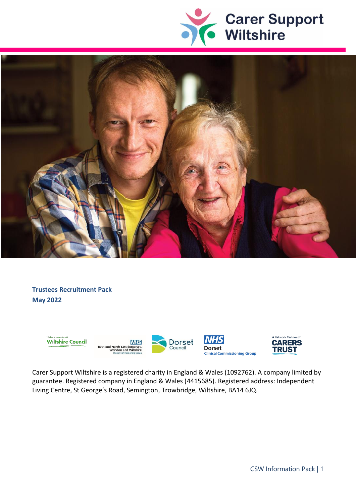



**Trustees Recruitment Pack May 2022**



Carer Support Wiltshire is a registered charity in England & Wales (1092762). A company limited by guarantee. Registered company in England & Wales (4415685). Registered address: Independent Living Centre, St George's Road, Semington, Trowbridge, Wiltshire, BA14 6JQ.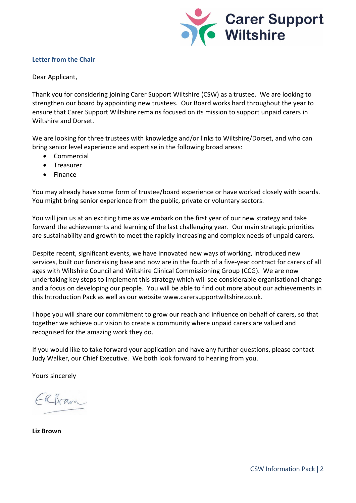

# **Letter from the Chair**

Dear Applicant,

Thank you for considering joining Carer Support Wiltshire (CSW) as a trustee. We are looking to strengthen our board by appointing new trustees. Our Board works hard throughout the year to ensure that Carer Support Wiltshire remains focused on its mission to support unpaid carers in Wiltshire and Dorset.

We are looking for three trustees with knowledge and/or links to Wiltshire/Dorset, and who can bring senior level experience and expertise in the following broad areas:

- Commercial
- Treasurer
- Finance

You may already have some form of trustee/board experience or have worked closely with boards. You might bring senior experience from the public, private or voluntary sectors.

You will join us at an exciting time as we embark on the first year of our new strategy and take forward the achievements and learning of the last challenging year. Our main strategic priorities are sustainability and growth to meet the rapidly increasing and complex needs of unpaid carers.

Despite recent, significant events, we have innovated new ways of working, introduced new services, built our fundraising base and now are in the fourth of a five-year contract for carers of all ages with Wiltshire Council and Wiltshire Clinical Commissioning Group (CCG). We are now undertaking key steps to implement this strategy which will see considerable organisational change and a focus on developing our people. You will be able to find out more about our achievements in this Introduction Pack as well as our website www.carersupportwiltshire.co.uk.

I hope you will share our commitment to grow our reach and influence on behalf of carers, so that together we achieve our vision to create a community where unpaid carers are valued and recognised for the amazing work they do.

If you would like to take forward your application and have any further questions, please contact Judy Walker, our Chief Executive. We both look forward to hearing from you.

Yours sincerely

ERBram

**Liz Brown**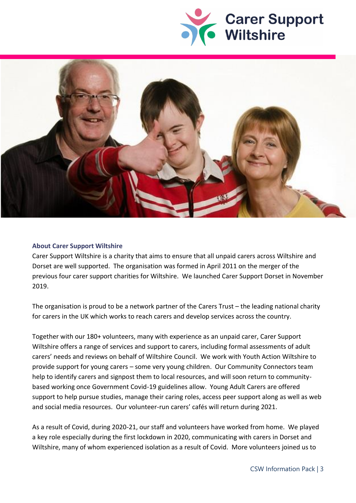



### **About Carer Support Wiltshire**

Carer Support Wiltshire is a charity that aims to ensure that all unpaid carers across Wiltshire and Dorset are well supported. The organisation was formed in April 2011 on the merger of the previous four carer support charities for Wiltshire. We launched Carer Support Dorset in November 2019.

The organisation is proud to be a network partner of the [Carers Trust](http://www.carers.org/) – the leading national charity for carers in the UK which works to reach carers and develop services across the country.

Together with our 180+ volunteers, many with experience as an unpaid carer, Carer Support Wiltshire offers a range of services and support to carers, including formal assessments of adult carers' needs and reviews on behalf of Wiltshire Council. We work with Youth Action Wiltshire to provide support for young carers – some very young children. Our Community Connectors team help to identify carers and signpost them to local resources, and will soon return to communitybased working once Government Covid-19 guidelines allow. Young Adult Carers are offered support to help pursue studies, manage their caring roles, access peer support along as well as web and social media resources. Our volunteer-run carers' cafés will return during 2021.

As a result of Covid, during 2020-21, our staff and volunteers have worked from home. We played a key role especially during the first lockdown in 2020, communicating with carers in Dorset and Wiltshire, many of whom experienced isolation as a result of Covid. More volunteers joined us to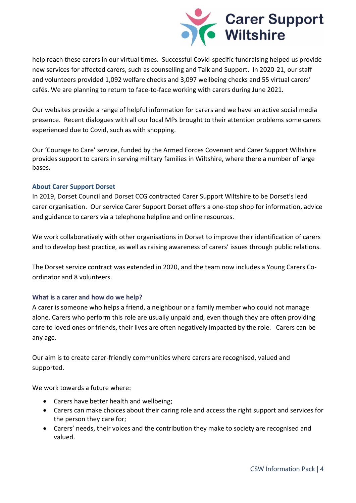

help reach these carers in our virtual times. Successful Covid-specific fundraising helped us provide new services for affected carers, such as counselling and Talk and Support. In 2020-21, our staff and volunteers provided 1,092 welfare checks and 3,097 wellbeing checks and 55 virtual carers' cafés. We are planning to return to face-to-face working with carers during June 2021.

Our websites provide a range of helpful information for carers and we have an active social media presence. Recent dialogues with all our local MPs brought to their attention problems some carers experienced due to Covid, such as with shopping.

Our 'Courage to Care' service, funded by the Armed Forces Covenant and Carer Support Wiltshire provides support to carers in serving military families in Wiltshire, where there a number of large bases.

# **About Carer Support Dorset**

In 2019, Dorset Council and Dorset CCG contracted Carer Support Wiltshire to be Dorset's lead carer organisation. Our service Carer Support Dorset offers a one-stop shop for information, advice and guidance to carers via a telephone helpline and online resources.

We work collaboratively with other organisations in Dorset to improve their identification of carers and to develop best practice, as well as raising awareness of carers' issues through public relations.

The Dorset service contract was extended in 2020, and the team now includes a Young Carers Coordinator and 8 volunteers.

# **What is a carer and how do we help?**

A carer is someone who helps a friend, a neighbour or a family member who could not manage alone. Carers who perform this role are usually unpaid and, even though they are often providing care to loved ones or friends, their lives are often negatively impacted by the role. Carers can be any age.

Our aim is to create carer-friendly communities where carers are recognised, valued and supported.

We work towards a future where:

- Carers have better health and wellbeing;
- Carers can make choices about their caring role and access the right support and services for the person they care for;
- Carers' needs, their voices and the contribution they make to society are recognised and valued.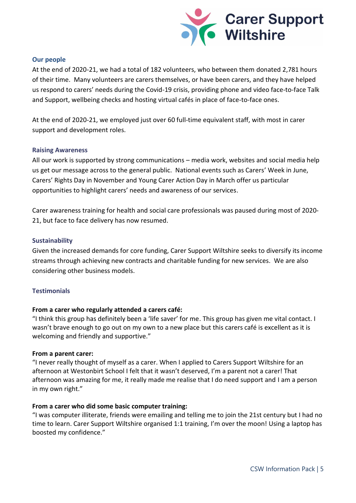

# **Our people**

At the end of 2020-21, we had a total of 182 volunteers, who between them donated 2,781 hours of their time. Many volunteers are carers themselves, or have been carers, and they have helped us respond to carers' needs during the Covid-19 crisis, providing phone and video face-to-face Talk and Support, wellbeing checks and hosting virtual cafés in place of face-to-face ones.

At the end of 2020-21, we employed just over 60 full-time equivalent staff, with most in carer support and development roles.

# **Raising Awareness**

All our work is supported by strong communications – media work, websites and social media help us get our message across to the general public. National events such as Carers' Week in June, Carers' Rights Day in November and Young Carer Action Day in March offer us particular opportunities to highlight carers' needs and awareness of our services.

Carer awareness training for health and social care professionals was paused during most of 2020- 21, but face to face delivery has now resumed.

# **Sustainability**

Given the increased demands for core funding, Carer Support Wiltshire seeks to diversify its income streams through achieving new contracts and charitable funding for new services. We are also considering other business models.

# **Testimonials**

# **From a carer who regularly attended a carers café:**

"I think this group has definitely been a 'life saver' for me. This group has given me vital contact. I wasn't brave enough to go out on my own to a new place but this carers café is excellent as it is welcoming and friendly and supportive."

# **From a parent carer:**

"I never really thought of myself as a carer. When I applied to Carers Support Wiltshire for an afternoon at Westonbirt School I felt that it wasn't deserved, I'm a parent not a carer! That afternoon was amazing for me, it really made me realise that I do need support and I am a person in my own right."

# **From a carer who did some basic computer training:**

"I was computer illiterate, friends were emailing and telling me to join the 21st century but I had no time to learn. Carer Support Wiltshire organised 1:1 training, I'm over the moon! Using a laptop has boosted my confidence."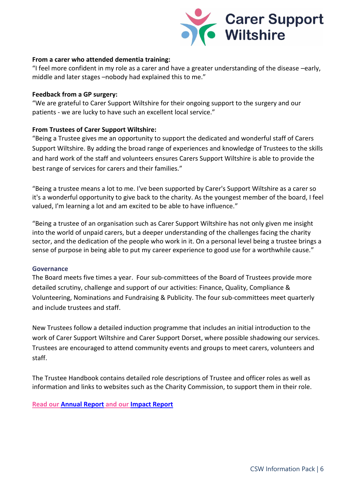

# **From a carer who attended dementia training:**

"I feel more confident in my role as a carer and have a greater understanding of the disease –early, middle and later stages –nobody had explained this to me."

### **Feedback from a GP surgery:**

"We are grateful to Carer Support Wiltshire for their ongoing support to the surgery and our patients - we are lucky to have such an excellent local service."

# **From Trustees of Carer Support Wiltshire:**

"Being a Trustee gives me an opportunity to support the dedicated and wonderful staff of Carers Support Wiltshire. By adding the broad range of experiences and knowledge of Trustees to the skills and hard work of the staff and volunteers ensures Carers Support Wiltshire is able to provide the best range of services for carers and their families."

"Being a trustee means a lot to me. I've been supported by Carer's Support Wiltshire as a carer so it's a wonderful opportunity to give back to the charity. As the youngest member of the board, I feel valued, I'm learning a lot and am excited to be able to have influence."

"Being a trustee of an organisation such as Carer Support Wiltshire has not only given me insight into the world of unpaid carers, but a deeper understanding of the challenges facing the charity sector, and the dedication of the people who work in it. On a personal level being a trustee brings a sense of purpose in being able to put my career experience to good use for a worthwhile cause."

#### **Governance**

The Board meets five times a year. Four sub-committees of the Board of Trustees provide more detailed scrutiny, challenge and support of our activities: Finance, Quality, Compliance & Volunteering, Nominations and Fundraising & Publicity. The four sub-committees meet quarterly and include trustees and staff.

New Trustees follow a detailed induction programme that includes an initial introduction to the work of Carer Support Wiltshire and Carer Support Dorset, where possible shadowing our services. Trustees are encouraged to attend community events and groups to meet carers, volunteers and staff.

The Trustee Handbook contains detailed role descriptions of Trustee and officer roles as well as information and links to websites such as the Charity Commission, to support them in their role.

**Read ou[r Annual Report](https://carersupportwiltshire.co.uk/app/uploads/2021/12/Carer-Support-Wiltshire-signed-accounts-31.3.21.pdf) and our [Impact Report](https://carersupportwiltshire.co.uk/app/uploads/2021/03/CSW-A4-Impact-Report-Apr19-Mar20-%E2%80%93-pages-final.pdf)**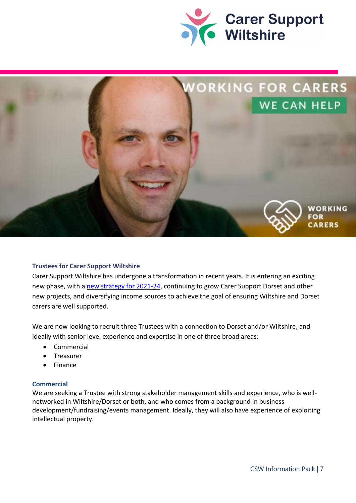



# **Trustees for Carer Support Wiltshire**

Carer Support Wiltshire has undergone a transformation in recent years. It is entering an exciting new phase, with a [new strategy for 2021-24,](https://carersupportwiltshire.co.uk/app/uploads/2021/04/Strategy-and-Business-plan-2021-24-website-2.pdf) continuing to grow Carer Support Dorset and other new projects, and diversifying income sources to achieve the goal of ensuring Wiltshire and Dorset carers are well supported.

We are now looking to recruit three Trustees with a connection to Dorset and/or Wiltshire, and ideally with senior level experience and expertise in one of three broad areas:

- Commercial
- **Treasurer**
- Finance

# **Commercial**

We are seeking a Trustee with strong stakeholder management skills and experience, who is wellnetworked in Wiltshire/Dorset or both, and who comes from a background in business development/fundraising/events management. Ideally, they will also have experience of exploiting intellectual property.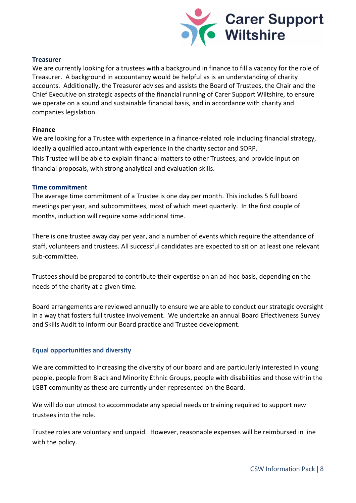

### **Treasurer**

We are currently looking for a trustees with a background in finance to fill a vacancy for the role of Treasurer. A background in accountancy would be helpful as is an understanding of charity accounts. Additionally, the Treasurer advises and assists the Board of Trustees, the Chair and the Chief Executive on strategic aspects of the financial running of Carer Support Wiltshire, to ensure we operate on a sound and sustainable financial basis, and in accordance with charity and companies legislation.

### **Finance**

We are looking for a Trustee with experience in a finance-related role including financial strategy, ideally a qualified accountant with experience in the charity sector and SORP. This Trustee will be able to explain financial matters to other Trustees, and provide input on financial proposals, with strong analytical and evaluation skills.

### **Time commitment**

The average time commitment of a Trustee is one day per month. This includes 5 full board meetings per year, and subcommittees, most of which meet quarterly. In the first couple of months, induction will require some additional time.

There is one trustee away day per year, and a number of events which require the attendance of staff, volunteers and trustees. All successful candidates are expected to sit on at least one relevant sub-committee.

Trustees should be prepared to contribute their expertise on an ad-hoc basis, depending on the needs of the charity at a given time.

Board arrangements are reviewed annually to ensure we are able to conduct our strategic oversight in a way that fosters full trustee involvement. We undertake an annual Board Effectiveness Survey and Skills Audit to inform our Board practice and Trustee development.

# **Equal opportunities and diversity**

We are committed to increasing the diversity of our board and are particularly interested in young people, people from Black and Minority Ethnic Groups, people with disabilities and those within the LGBT community as these are currently under-represented on the Board.

We will do our utmost to accommodate any special needs or training required to support new trustees into the role.

Trustee roles are voluntary and unpaid. However, reasonable expenses will be reimbursed in line with the policy.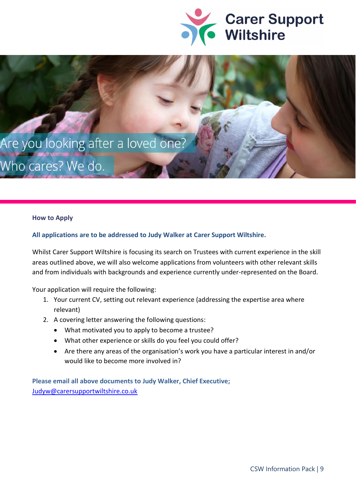



# **How to Apply**

### **All applications are to be addressed to Judy Walker at Carer Support Wiltshire.**

Whilst Carer Support Wiltshire is focusing its search on Trustees with current experience in the skill areas outlined above, we will also welcome applications from volunteers with other relevant skills and from individuals with backgrounds and experience currently under-represented on the Board.

Your application will require the following:

- 1. Your current CV, setting out relevant experience (addressing the expertise area where relevant)
- 2. A covering letter answering the following questions:
	- What motivated you to apply to become a trustee?
	- What other experience or skills do you feel you could offer?
	- Are there any areas of the organisation's work you have a particular interest in and/or would like to become more involved in?

**Please email all above documents to Judy Walker, Chief Executive;**  [Judyw@carersupportwiltshire.co.uk](mailto:Judyw@carersupportwiltshire.co.uk)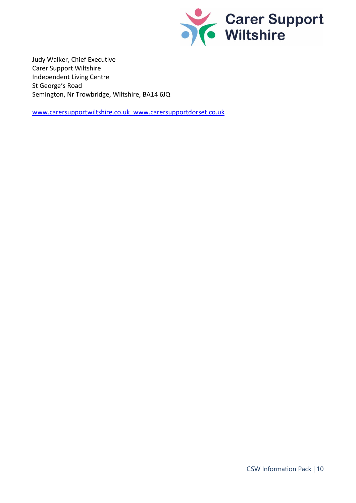

Judy Walker, Chief Executive Carer Support Wiltshire Independent Living Centre St George's Road Semington, Nr Trowbridge, Wiltshire, BA14 6JQ

[www.carersupportwiltshire.co.uk](http://www.carersupportwiltshire.co.uk/) [www.carersupportdorset.co.uk](http://www.carersupportdorset.co.uk/)